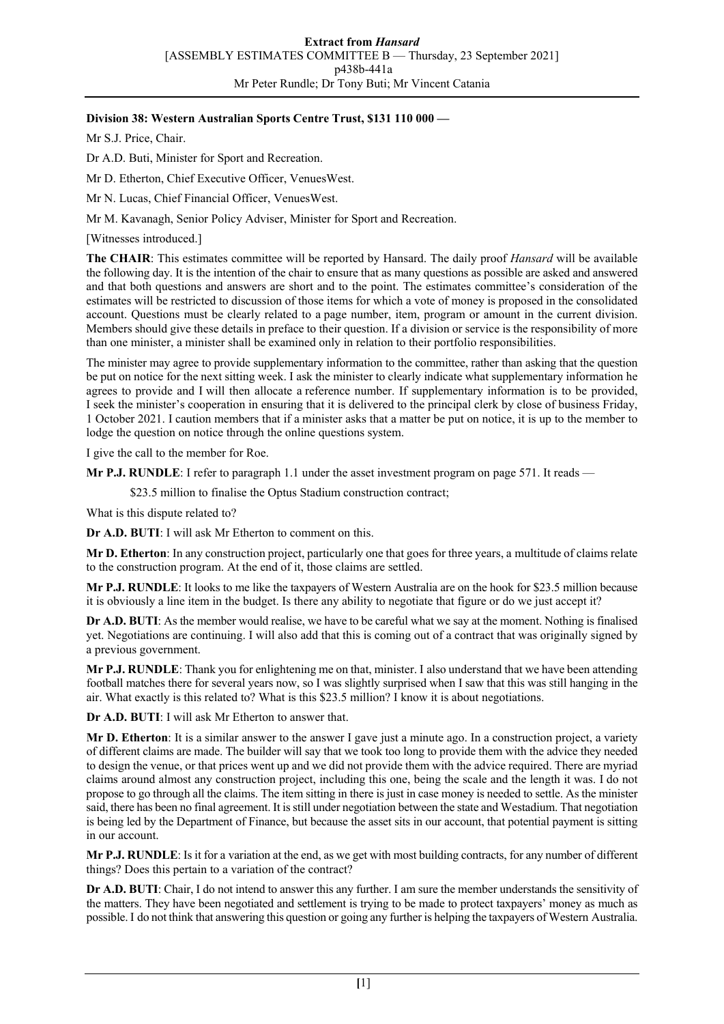## **Division 38: Western Australian Sports Centre Trust, \$131 110 000 —**

Mr S.J. Price, Chair.

Dr A.D. Buti, Minister for Sport and Recreation.

Mr D. Etherton, Chief Executive Officer, VenuesWest.

Mr N. Lucas, Chief Financial Officer, VenuesWest.

Mr M. Kavanagh, Senior Policy Adviser, Minister for Sport and Recreation.

[Witnesses introduced.]

**The CHAIR**: This estimates committee will be reported by Hansard. The daily proof *Hansard* will be available the following day. It is the intention of the chair to ensure that as many questions as possible are asked and answered and that both questions and answers are short and to the point. The estimates committee's consideration of the estimates will be restricted to discussion of those items for which a vote of money is proposed in the consolidated account. Questions must be clearly related to a page number, item, program or amount in the current division. Members should give these details in preface to their question. If a division or service is the responsibility of more than one minister, a minister shall be examined only in relation to their portfolio responsibilities.

The minister may agree to provide supplementary information to the committee, rather than asking that the question be put on notice for the next sitting week. I ask the minister to clearly indicate what supplementary information he agrees to provide and I will then allocate a reference number. If supplementary information is to be provided, I seek the minister's cooperation in ensuring that it is delivered to the principal clerk by close of business Friday, 1 October 2021. I caution members that if a minister asks that a matter be put on notice, it is up to the member to lodge the question on notice through the online questions system.

I give the call to the member for Roe.

**Mr P.J. RUNDLE**: I refer to paragraph 1.1 under the asset investment program on page 571. It reads —

\$23.5 million to finalise the Optus Stadium construction contract;

What is this dispute related to?

**Dr A.D. BUTI**: I will ask Mr Etherton to comment on this.

**Mr D. Etherton**: In any construction project, particularly one that goes for three years, a multitude of claims relate to the construction program. At the end of it, those claims are settled.

**Mr P.J. RUNDLE**: It looks to me like the taxpayers of Western Australia are on the hook for \$23.5 million because it is obviously a line item in the budget. Is there any ability to negotiate that figure or do we just accept it?

**Dr A.D. BUTI**: As the member would realise, we have to be careful what we say at the moment. Nothing is finalised yet. Negotiations are continuing. I will also add that this is coming out of a contract that was originally signed by a previous government.

**Mr P.J. RUNDLE**: Thank you for enlightening me on that, minister. I also understand that we have been attending football matches there for several years now, so I was slightly surprised when I saw that this was still hanging in the air. What exactly is this related to? What is this \$23.5 million? I know it is about negotiations.

**Dr A.D. BUTI**: I will ask Mr Etherton to answer that.

**Mr D. Etherton**: It is a similar answer to the answer I gave just a minute ago. In a construction project, a variety of different claims are made. The builder will say that we took too long to provide them with the advice they needed to design the venue, or that prices went up and we did not provide them with the advice required. There are myriad claims around almost any construction project, including this one, being the scale and the length it was. I do not propose to go through all the claims. The item sitting in there is just in case money is needed to settle. As the minister said, there has been no final agreement. It is still under negotiation between the state and Westadium. That negotiation is being led by the Department of Finance, but because the asset sits in our account, that potential payment is sitting in our account.

**Mr P.J. RUNDLE**: Is it for a variation at the end, as we get with most building contracts, for any number of different things? Does this pertain to a variation of the contract?

**Dr A.D. BUTI**: Chair, I do not intend to answer this any further. I am sure the member understands the sensitivity of the matters. They have been negotiated and settlement is trying to be made to protect taxpayers' money as much as possible. I do not think that answering this question or going any further is helping the taxpayers of Western Australia.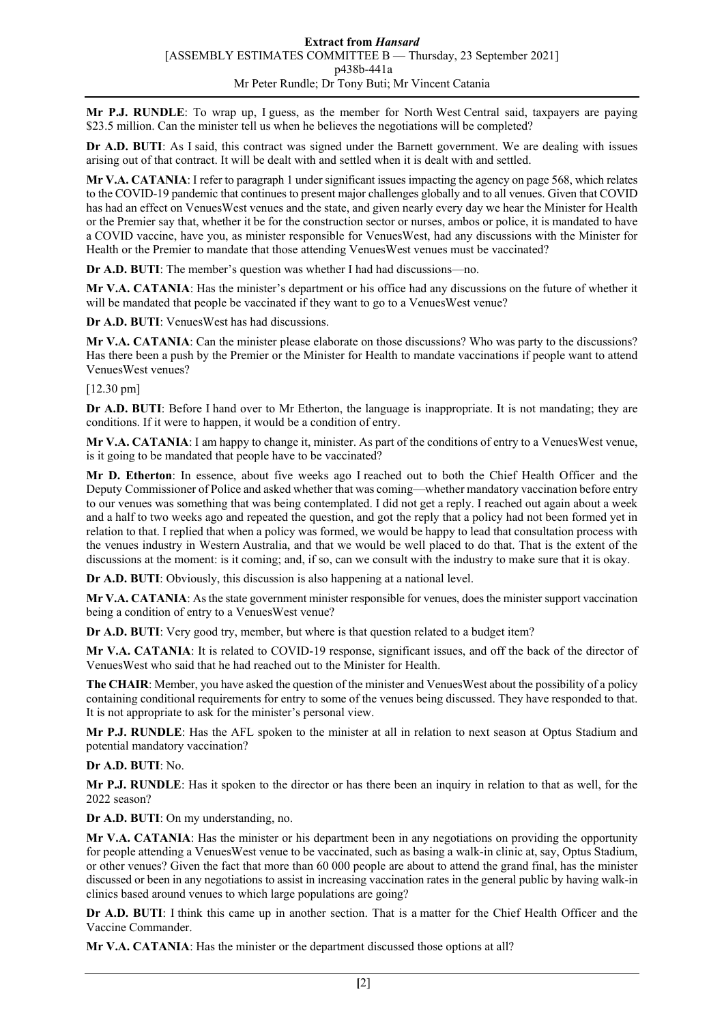**Mr P.J. RUNDLE**: To wrap up, I guess, as the member for North West Central said, taxpayers are paying \$23.5 million. Can the minister tell us when he believes the negotiations will be completed?

**Dr A.D. BUTI**: As I said, this contract was signed under the Barnett government. We are dealing with issues arising out of that contract. It will be dealt with and settled when it is dealt with and settled.

**Mr V.A. CATANIA**: I refer to paragraph 1 under significant issues impacting the agency on page 568, which relates to the COVID-19 pandemic that continues to present major challenges globally and to all venues. Given that COVID has had an effect on VenuesWest venues and the state, and given nearly every day we hear the Minister for Health or the Premier say that, whether it be for the construction sector or nurses, ambos or police, it is mandated to have a COVID vaccine, have you, as minister responsible for VenuesWest, had any discussions with the Minister for Health or the Premier to mandate that those attending VenuesWest venues must be vaccinated?

**Dr A.D. BUTI**: The member's question was whether I had had discussions—no.

**Mr V.A. CATANIA**: Has the minister's department or his office had any discussions on the future of whether it will be mandated that people be vaccinated if they want to go to a VenuesWest venue?

**Dr A.D. BUTI**: VenuesWest has had discussions.

**Mr V.A. CATANIA**: Can the minister please elaborate on those discussions? Who was party to the discussions? Has there been a push by the Premier or the Minister for Health to mandate vaccinations if people want to attend VenuesWest venues?

## [12.30 pm]

**Dr A.D. BUTI**: Before I hand over to Mr Etherton, the language is inappropriate. It is not mandating; they are conditions. If it were to happen, it would be a condition of entry.

**Mr V.A. CATANIA**: I am happy to change it, minister. As part of the conditions of entry to a VenuesWest venue, is it going to be mandated that people have to be vaccinated?

**Mr D. Etherton**: In essence, about five weeks ago I reached out to both the Chief Health Officer and the Deputy Commissioner of Police and asked whether that was coming—whether mandatory vaccination before entry to our venues was something that was being contemplated. I did not get a reply. I reached out again about a week and a half to two weeks ago and repeated the question, and got the reply that a policy had not been formed yet in relation to that. I replied that when a policy was formed, we would be happy to lead that consultation process with the venues industry in Western Australia, and that we would be well placed to do that. That is the extent of the discussions at the moment: is it coming; and, if so, can we consult with the industry to make sure that it is okay.

**Dr A.D. BUTI**: Obviously, this discussion is also happening at a national level.

**Mr V.A. CATANIA**: As the state government minister responsible for venues, does the minister support vaccination being a condition of entry to a VenuesWest venue?

**Dr A.D. BUTI**: Very good try, member, but where is that question related to a budget item?

**Mr V.A. CATANIA**: It is related to COVID-19 response, significant issues, and off the back of the director of VenuesWest who said that he had reached out to the Minister for Health.

**The CHAIR**: Member, you have asked the question of the minister and VenuesWest about the possibility of a policy containing conditional requirements for entry to some of the venues being discussed. They have responded to that. It is not appropriate to ask for the minister's personal view.

**Mr P.J. RUNDLE**: Has the AFL spoken to the minister at all in relation to next season at Optus Stadium and potential mandatory vaccination?

**Dr A.D. BUTI**: No.

**Mr P.J. RUNDLE**: Has it spoken to the director or has there been an inquiry in relation to that as well, for the 2022 season?

**Dr A.D. BUTI**: On my understanding, no.

**Mr V.A. CATANIA**: Has the minister or his department been in any negotiations on providing the opportunity for people attending a VenuesWest venue to be vaccinated, such as basing a walk-in clinic at, say, Optus Stadium, or other venues? Given the fact that more than 60 000 people are about to attend the grand final, has the minister discussed or been in any negotiations to assist in increasing vaccination rates in the general public by having walk-in clinics based around venues to which large populations are going?

**Dr A.D. BUTI**: I think this came up in another section. That is a matter for the Chief Health Officer and the Vaccine Commander.

**Mr V.A. CATANIA**: Has the minister or the department discussed those options at all?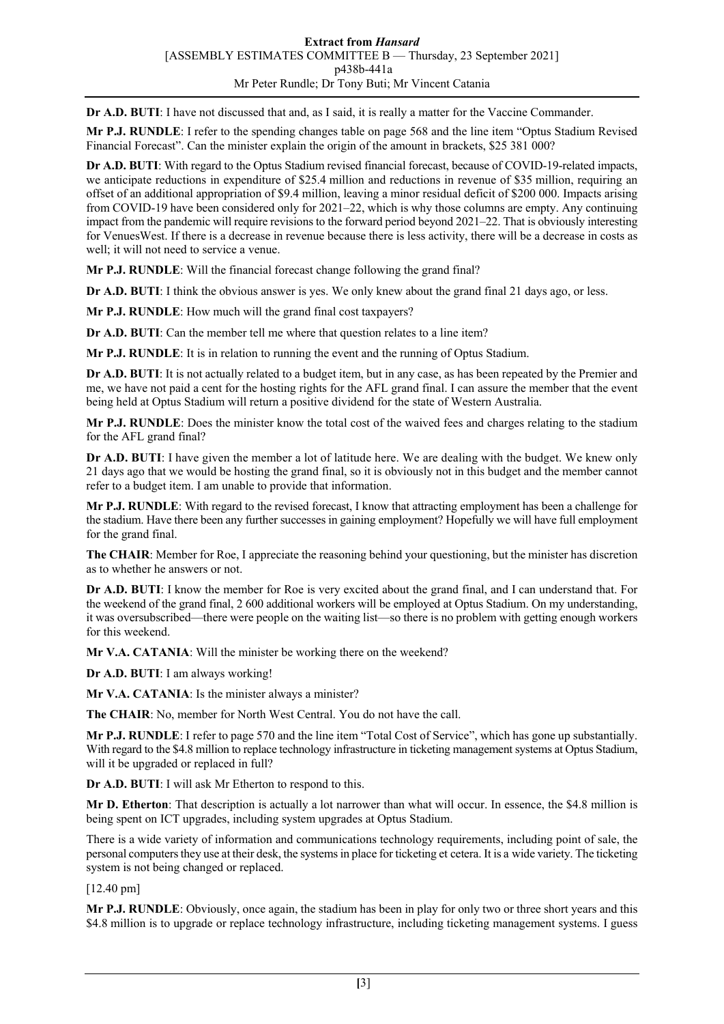**Dr A.D. BUTI**: I have not discussed that and, as I said, it is really a matter for the Vaccine Commander.

**Mr P.J. RUNDLE**: I refer to the spending changes table on page 568 and the line item "Optus Stadium Revised Financial Forecast". Can the minister explain the origin of the amount in brackets, \$25 381 000?

**Dr A.D. BUTI**: With regard to the Optus Stadium revised financial forecast, because of COVID-19-related impacts, we anticipate reductions in expenditure of \$25.4 million and reductions in revenue of \$35 million, requiring an offset of an additional appropriation of \$9.4 million, leaving a minor residual deficit of \$200 000. Impacts arising from COVID-19 have been considered only for 2021–22, which is why those columns are empty. Any continuing impact from the pandemic will require revisions to the forward period beyond 2021–22. That is obviously interesting for VenuesWest. If there is a decrease in revenue because there is less activity, there will be a decrease in costs as well; it will not need to service a venue.

**Mr P.J. RUNDLE**: Will the financial forecast change following the grand final?

**Dr A.D. BUTI:** I think the obvious answer is yes. We only knew about the grand final 21 days ago, or less.

**Mr P.J. RUNDLE**: How much will the grand final cost taxpayers?

**Dr A.D. BUTI**: Can the member tell me where that question relates to a line item?

**Mr P.J. RUNDLE**: It is in relation to running the event and the running of Optus Stadium.

**Dr A.D. BUTI**: It is not actually related to a budget item, but in any case, as has been repeated by the Premier and me, we have not paid a cent for the hosting rights for the AFL grand final. I can assure the member that the event being held at Optus Stadium will return a positive dividend for the state of Western Australia.

**Mr P.J. RUNDLE**: Does the minister know the total cost of the waived fees and charges relating to the stadium for the AFL grand final?

**Dr A.D. BUTI**: I have given the member a lot of latitude here. We are dealing with the budget. We knew only 21 days ago that we would be hosting the grand final, so it is obviously not in this budget and the member cannot refer to a budget item. I am unable to provide that information.

**Mr P.J. RUNDLE**: With regard to the revised forecast, I know that attracting employment has been a challenge for the stadium. Have there been any further successes in gaining employment? Hopefully we will have full employment for the grand final.

**The CHAIR**: Member for Roe, I appreciate the reasoning behind your questioning, but the minister has discretion as to whether he answers or not.

**Dr A.D. BUTI**: I know the member for Roe is very excited about the grand final, and I can understand that. For the weekend of the grand final, 2 600 additional workers will be employed at Optus Stadium. On my understanding, it was oversubscribed—there were people on the waiting list—so there is no problem with getting enough workers for this weekend.

**Mr V.A. CATANIA**: Will the minister be working there on the weekend?

**Dr A.D. BUTI**: I am always working!

**Mr V.A. CATANIA**: Is the minister always a minister?

**The CHAIR**: No, member for North West Central. You do not have the call.

**Mr P.J. RUNDLE**: I refer to page 570 and the line item "Total Cost of Service", which has gone up substantially. With regard to the \$4.8 million to replace technology infrastructure in ticketing management systems at Optus Stadium, will it be upgraded or replaced in full?

**Dr A.D. BUTI**: I will ask Mr Etherton to respond to this.

**Mr D. Etherton**: That description is actually a lot narrower than what will occur. In essence, the \$4.8 million is being spent on ICT upgrades, including system upgrades at Optus Stadium.

There is a wide variety of information and communications technology requirements, including point of sale, the personal computers they use at their desk, the systems in place for ticketing et cetera. It is a wide variety. The ticketing system is not being changed or replaced.

## [12.40 pm]

**Mr P.J. RUNDLE**: Obviously, once again, the stadium has been in play for only two or three short years and this \$4.8 million is to upgrade or replace technology infrastructure, including ticketing management systems. I guess